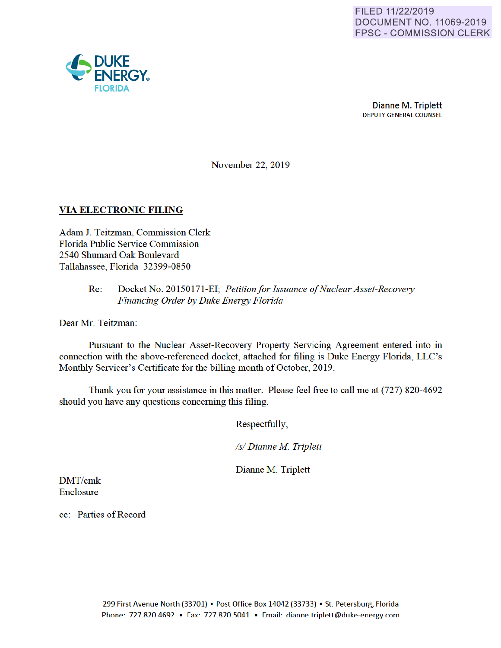

November 22, 2019

## **VIA ELECTRONIC FILING**

Adam J. Teitzman, Commission Clerk Florida Public Service Commission 2540 Shumard Oak Boulevard Tallahassee, Florida 32399-0850

## Re: Docket No. 20150171 -EI· *Petition for Issuance of Nuclear Asset-Recovery Financing Order by Duke Energy Florida*

Dear Mr. Teitzman:

Pursuant to the Nuclear Asset-Recovery Property Servicing Agreement entered into in connection with the above-referenced docket, attached for filing is Duke Energy Florida, LLC's Monthly Servicer's Certificate for the billing month of October, 2019.

Thank you for your assistance in this matter. Please feel free to call me at (727) 820-4692 should you have any questions concerning this filing.

Respectfully,

*Isl Dianne M Triplett* 

Dianne M. Triplett

DMT/cmk Enclosure

cc: Parties of Record

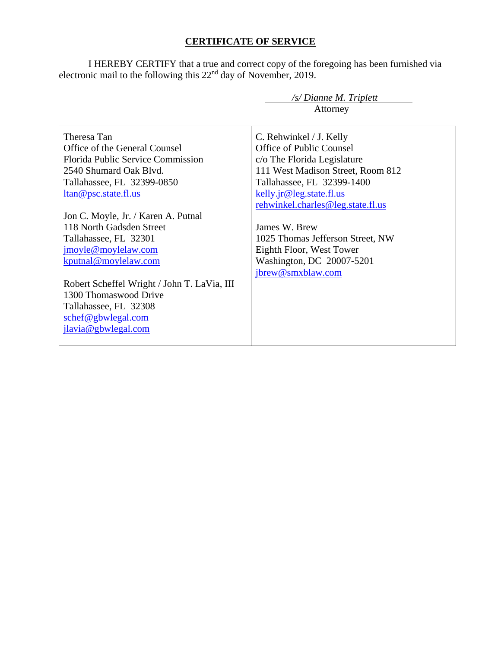# **CERTIFICATE OF SERVICE**

I HEREBY CERTIFY that a true and correct copy of the foregoing has been furnished via electronic mail to the following this  $22<sup>nd</sup>$  day of November, 2019.

|                                             | /s/ Dianne M. Triplett            |
|---------------------------------------------|-----------------------------------|
|                                             | Attorney                          |
|                                             |                                   |
| Theresa Tan                                 | C. Rehwinkel / J. Kelly           |
| Office of the General Counsel               | Office of Public Counsel          |
| <b>Florida Public Service Commission</b>    | c/o The Florida Legislature       |
| 2540 Shumard Oak Blyd.                      | 111 West Madison Street, Room 812 |
| Tallahassee, FL 32399-0850                  | Tallahassee, FL 32399-1400        |
| <u>ltan@psc.state.fl.us</u>                 | kelly.jr@leg.state.fl.us          |
|                                             | rehwinkel.charles@leg.state.fl.us |
| Jon C. Moyle, Jr. / Karen A. Putnal         |                                   |
| 118 North Gadsden Street                    | James W. Brew                     |
| Tallahassee, FL 32301                       | 1025 Thomas Jefferson Street, NW  |
| jmoyle@moylelaw.com                         | Eighth Floor, West Tower          |
| kputnal@moylelaw.com                        | Washington, DC 20007-5201         |
|                                             | jbrew@smxblaw.com                 |
| Robert Scheffel Wright / John T. LaVia, III |                                   |
| 1300 Thomaswood Drive                       |                                   |
| Tallahassee, FL 32308                       |                                   |
| schef@gbwlegal.com                          |                                   |
| jlavia@gbwlegal.com                         |                                   |
|                                             |                                   |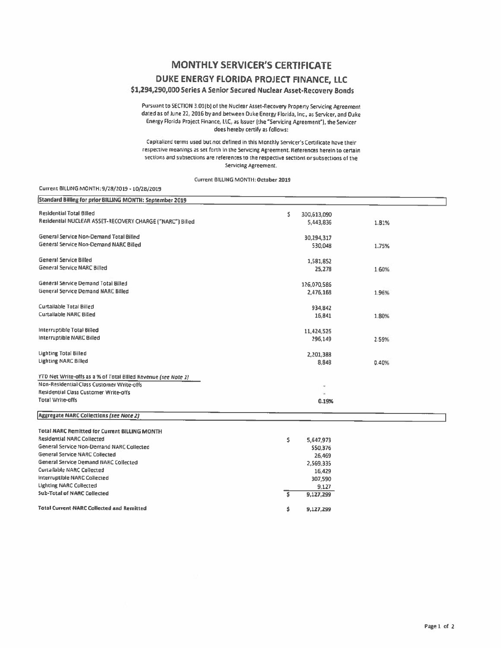## **MONTHLY SERVICER'S CERTIFICATE**

### DUKE ENERGY FLORIDA PROJECT FINANCE, LLC

### \$1,294,290,000 Series A Senior Secured Nuclear Asset-Recovery Bonds

Pursuant to SECTION 3.01(b) of the Nuclear Asset-Recovery Property Servicing Agreement dated as of June 22, 2016 by and between Duke Energy Florida, Inc., as Servicer, and Duke Energy Florida Project Finance, LLC, as Issuer (the "Servicing Agreement"), the Servicer does hereby certify as follows:

Capitalized terms used but not defined in this Monthly Servicer's Certificate have their respective meanings as set forth in the Servicing Agreement. References herein to certain sections and subsections are references to the respective sections or subsections of the Servicing Agreement.

#### Current BILLING MONTH: October 2019

#### Current BILLING MONTH: 9/28/2019 - 10/28/2019

| Standard Billing for prior BILLING MONTH: September 2019       |                   |       |  |
|----------------------------------------------------------------|-------------------|-------|--|
| <b>Residential Total Billed</b>                                | Ś.<br>300,613,090 |       |  |
| Residential NUCLEAR ASSET-RECOVERY CHARGE ("NARC") Billed      | 5,443,836         | 1.81% |  |
|                                                                |                   |       |  |
| General Service Non-Demand Total Billed                        | 30,294,317        |       |  |
| General Service Non-Demand NARC Billed                         | 530,048           | 1.75% |  |
|                                                                |                   |       |  |
| <b>General Service Billed</b>                                  | 1,581,852         |       |  |
| <b>General Service NARC Billed</b>                             | 25,278            | 1.60% |  |
|                                                                |                   |       |  |
| General Service Demand Total Billed                            | 126,070,586       |       |  |
| General Service Demand NARC Billed                             | 2,476,168         | 1.96% |  |
|                                                                |                   |       |  |
| Curtailable Total Billed                                       | 934.842           |       |  |
| <b>Curtailable NARC Billed</b>                                 | 15,841            | 1.80% |  |
|                                                                |                   |       |  |
| Interruptible Total Billed                                     | 11,424,526        |       |  |
| Interruptible NARC Billed                                      | 296,149           | 2.59% |  |
|                                                                |                   |       |  |
| <b>Lighting Total Billed</b>                                   | 2,201,388         |       |  |
| <b>Lighting NARC Billed</b>                                    | 8,848             | 0.40% |  |
| YTD Net Write-offs as a % of Total Billed Revenue (see Note 1) |                   |       |  |
| Non-Residential Class Customer Write-offs                      |                   |       |  |
| Residential Class Customer Write-offs                          |                   |       |  |
| <b>Total Write-offs</b>                                        | 0.19%             |       |  |
|                                                                |                   |       |  |
| <b>Aggregate NARC Collections (see Note 2)</b>                 |                   |       |  |
|                                                                |                   |       |  |
| <b>Total NARC Remitted for Current BILLING MONTH</b>           |                   |       |  |
| <b>Residential NARC Collected</b>                              | s.<br>5,647,973   |       |  |
| General Service Non-Demand NARC Collected                      | 550,376           |       |  |
| <b>General Service NARC Collected</b>                          | 26,469            |       |  |
| General Service Demand NARC Collected                          | 2,569,335         |       |  |
| Curtailable NARC Collected                                     | 16,429            |       |  |
| Interruptible NARC Collected                                   | 307,590           |       |  |
| <b>Lighting NARC Collected</b>                                 | 9,127             |       |  |
| <b>Sub-Total of NARC Collected</b>                             | ŝ<br>9,127,299    |       |  |
|                                                                |                   |       |  |
| Total Current NARC Collected and Remitted                      | \$<br>9,127,299   |       |  |